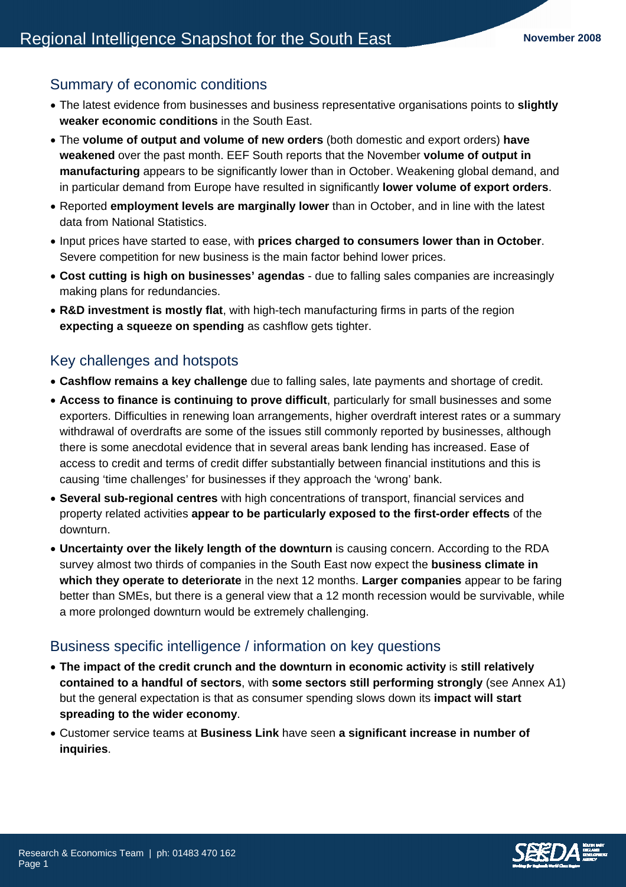## Summary of economic conditions

- The latest evidence from businesses and business representative organisations points to **slightly weaker economic conditions** in the South East.
- The **volume of output and volume of new orders** (both domestic and export orders) **have weakened** over the past month. EEF South reports that the November **volume of output in manufacturing** appears to be significantly lower than in October. Weakening global demand, and in particular demand from Europe have resulted in significantly **lower volume of export orders**.
- Reported **employment levels are marginally lower** than in October, and in line with the latest data from National Statistics.
- Input prices have started to ease, with **prices charged to consumers lower than in October**. Severe competition for new business is the main factor behind lower prices.
- **Cost cutting is high on businesses' agendas** due to falling sales companies are increasingly making plans for redundancies.
- **R&D investment is mostly flat**, with high-tech manufacturing firms in parts of the region **expecting a squeeze on spending** as cashflow gets tighter.

## Key challenges and hotspots

- **Cashflow remains a key challenge** due to falling sales, late payments and shortage of credit.
- **Access to finance is continuing to prove difficult**, particularly for small businesses and some exporters. Difficulties in renewing loan arrangements, higher overdraft interest rates or a summary withdrawal of overdrafts are some of the issues still commonly reported by businesses, although there is some anecdotal evidence that in several areas bank lending has increased. Ease of access to credit and terms of credit differ substantially between financial institutions and this is causing 'time challenges' for businesses if they approach the 'wrong' bank.
- **Several sub-regional centres** with high concentrations of transport, financial services and property related activities **appear to be particularly exposed to the first-order effects** of the downturn.
- **Uncertainty over the likely length of the downturn** is causing concern. According to the RDA survey almost two thirds of companies in the South East now expect the **business climate in which they operate to deteriorate** in the next 12 months. **Larger companies** appear to be faring better than SMEs, but there is a general view that a 12 month recession would be survivable, while a more prolonged downturn would be extremely challenging.

### Business specific intelligence / information on key questions

- **The impact of the credit crunch and the downturn in economic activity** is **still relatively contained to a handful of sectors**, with **some sectors still performing strongly** (see Annex A1) but the general expectation is that as consumer spending slows down its **impact will start spreading to the wider economy**.
- Customer service teams at **Business Link** have seen **a significant increase in number of inquiries**.

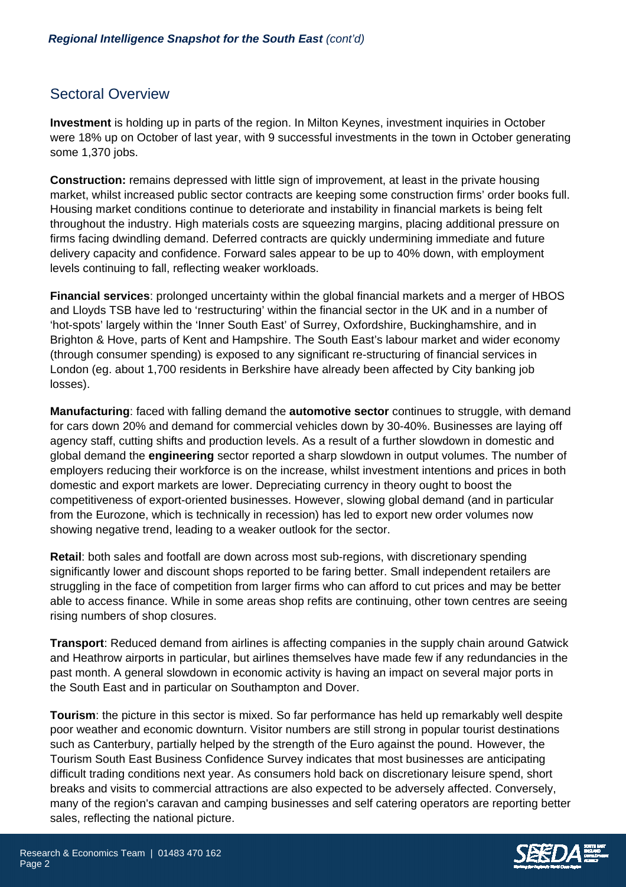# Sectoral Overview

**Investment** is holding up in parts of the region. In Milton Keynes, investment inquiries in October were 18% up on October of last year, with 9 successful investments in the town in October generating some 1,370 jobs.

**Construction:** remains depressed with little sign of improvement, at least in the private housing market, whilst increased public sector contracts are keeping some construction firms' order books full. Housing market conditions continue to deteriorate and instability in financial markets is being felt throughout the industry. High materials costs are squeezing margins, placing additional pressure on firms facing dwindling demand. Deferred contracts are quickly undermining immediate and future delivery capacity and confidence. Forward sales appear to be up to 40% down, with employment levels continuing to fall, reflecting weaker workloads.

**Financial services**: prolonged uncertainty within the global financial markets and a merger of HBOS and Lloyds TSB have led to 'restructuring' within the financial sector in the UK and in a number of 'hot-spots' largely within the 'Inner South East' of Surrey, Oxfordshire, Buckinghamshire, and in Brighton & Hove, parts of Kent and Hampshire. The South East's labour market and wider economy (through consumer spending) is exposed to any significant re-structuring of financial services in London (eg. about 1,700 residents in Berkshire have already been affected by City banking job losses).

**Manufacturing:** faced with falling demand the **automotive sector** continues to struggle, with demand for cars down 20% and demand for commercial vehicles down by 30-40%. Businesses are laying off agency staff, cutting shifts and production levels. As a result of a further slowdown in domestic and global demand the **engineering** sector reported a sharp slowdown in output volumes. The number of employers reducing their workforce is on the increase, whilst investment intentions and prices in both domestic and export markets are lower. Depreciating currency in theory ought to boost the competitiveness of export-oriented businesses. However, slowing global demand (and in particular from the Eurozone, which is technically in recession) has led to export new order volumes now showing negative trend, leading to a weaker outlook for the sector.

**Retail**: both sales and footfall are down across most sub-regions, with discretionary spending significantly lower and discount shops reported to be faring better. Small independent retailers are struggling in the face of competition from larger firms who can afford to cut prices and may be better able to access finance. While in some areas shop refits are continuing, other town centres are seeing rising numbers of shop closures.

**Transport**: Reduced demand from airlines is affecting companies in the supply chain around Gatwick and Heathrow airports in particular, but airlines themselves have made few if any redundancies in the past month. A general slowdown in economic activity is having an impact on several major ports in the South East and in particular on Southampton and Dover.

**Tourism**: the picture in this sector is mixed. So far performance has held up remarkably well despite poor weather and economic downturn. Visitor numbers are still strong in popular tourist destinations such as Canterbury, partially helped by the strength of the Euro against the pound. However, the Tourism South East Business Confidence Survey indicates that most businesses are anticipating difficult trading conditions next year. As consumers hold back on discretionary leisure spend, short breaks and visits to commercial attractions are also expected to be adversely affected. Conversely, many of the region's caravan and camping businesses and self catering operators are reporting better sales, reflecting the national picture.